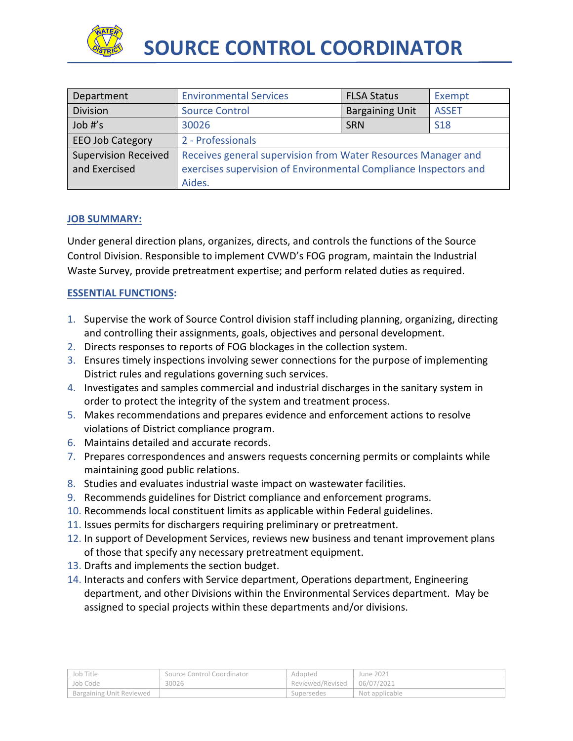

| Department                  | <b>Environmental Services</b>                                    | <b>FLSA Status</b>     | Exempt       |
|-----------------------------|------------------------------------------------------------------|------------------------|--------------|
| <b>Division</b>             | <b>Source Control</b>                                            | <b>Bargaining Unit</b> | <b>ASSET</b> |
| Job #'s                     | 30026                                                            | <b>SRN</b>             | <b>S18</b>   |
| <b>EEO Job Category</b>     | 2 - Professionals                                                |                        |              |
| <b>Supervision Received</b> | Receives general supervision from Water Resources Manager and    |                        |              |
| and Exercised               | exercises supervision of Environmental Compliance Inspectors and |                        |              |
|                             | Aides.                                                           |                        |              |

### **JOB SUMMARY:**

Under general direction plans, organizes, directs, and controls the functions of the Source Control Division. Responsible to implement CVWD's FOG program, maintain the Industrial Waste Survey, provide pretreatment expertise; and perform related duties as required.

# **ESSENTIAL FUNCTIONS:**

- 1. Supervise the work of Source Control division staff including planning, organizing, directing and controlling their assignments, goals, objectives and personal development.
- 2. Directs responses to reports of FOG blockages in the collection system.
- 3. Ensures timely inspections involving sewer connections for the purpose of implementing District rules and regulations governing such services.
- 4. Investigates and samples commercial and industrial discharges in the sanitary system in order to protect the integrity of the system and treatment process.
- 5. Makes recommendations and prepares evidence and enforcement actions to resolve violations of District compliance program.
- 6. Maintains detailed and accurate records.
- 7. Prepares correspondences and answers requests concerning permits or complaints while maintaining good public relations.
- 8. Studies and evaluates industrial waste impact on wastewater facilities.
- 9. Recommends guidelines for District compliance and enforcement programs.
- 10. Recommends local constituent limits as applicable within Federal guidelines.
- 11. Issues permits for dischargers requiring preliminary or pretreatment.
- 12. In support of Development Services, reviews new business and tenant improvement plans of those that specify any necessary pretreatment equipment.
- 13. Drafts and implements the section budget.
- 14. Interacts and confers with Service department, Operations department, Engineering department, and other Divisions within the Environmental Services department. May be assigned to special projects within these departments and/or divisions.

| ' Job Title              | Source Control Coordinator | Adopted          | June 2021      |
|--------------------------|----------------------------|------------------|----------------|
| Job Code                 | 30026                      | Reviewed/Revised | 06/07/2021     |
| Bargaining Unit Reviewed |                            | Supersedes       | Not applicable |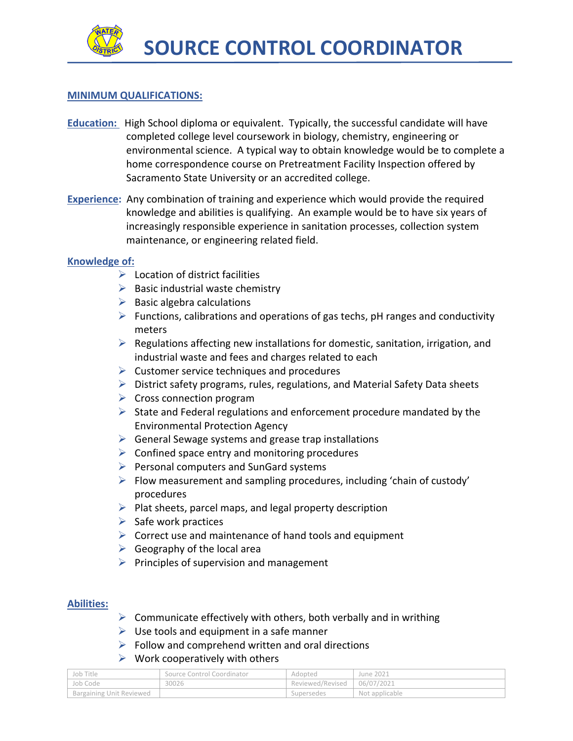

### **MINIMUM QUALIFICATIONS:**

- **Education:** High School diploma or equivalent. Typically, the successful candidate will have completed college level coursework in biology, chemistry, engineering or environmental science. A typical way to obtain knowledge would be to complete a home correspondence course on Pretreatment Facility Inspection offered by Sacramento State University or an accredited college.
- **Experience:** Any combination of training and experience which would provide the required knowledge and abilities is qualifying. An example would be to have six years of increasingly responsible experience in sanitation processes, collection system maintenance, or engineering related field.

### **Knowledge of:**

- $\triangleright$  Location of district facilities
- $\triangleright$  Basic industrial waste chemistry
- $\triangleright$  Basic algebra calculations
- $\triangleright$  Functions, calibrations and operations of gas techs, pH ranges and conductivity meters
- $\triangleright$  Regulations affecting new installations for domestic, sanitation, irrigation, and industrial waste and fees and charges related to each
- $\triangleright$  Customer service techniques and procedures
- $\triangleright$  District safety programs, rules, regulations, and Material Safety Data sheets
- $\triangleright$  Cross connection program
- $\triangleright$  State and Federal regulations and enforcement procedure mandated by the Environmental Protection Agency
- $\triangleright$  General Sewage systems and grease trap installations
- $\triangleright$  Confined space entry and monitoring procedures
- $\triangleright$  Personal computers and SunGard systems
- $\triangleright$  Flow measurement and sampling procedures, including 'chain of custody' procedures
- $\triangleright$  Plat sheets, parcel maps, and legal property description
- $\triangleright$  Safe work practices
- $\triangleright$  Correct use and maintenance of hand tools and equipment
- $\triangleright$  Geography of the local area
- $\triangleright$  Principles of supervision and management

### **Abilities:**

- $\triangleright$  Communicate effectively with others, both verbally and in writhing
- $\triangleright$  Use tools and equipment in a safe manner
- $\triangleright$  Follow and comprehend written and oral directions
- $\triangleright$  Work cooperatively with others

| Job Title                | Source Control Coordinator | Adopted                       | June 2021      |
|--------------------------|----------------------------|-------------------------------|----------------|
| Job Code                 | 30026                      | Reviewed/Revised   06/07/2021 |                |
| Bargaining Unit Reviewed |                            | Supersedes                    | Not applicable |